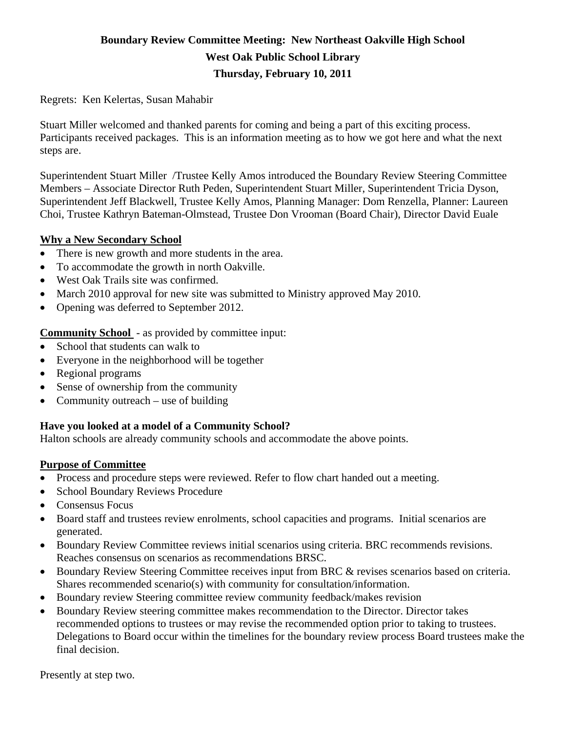# **Boundary Review Committee Meeting: New Northeast Oakville High School West Oak Public School Library Thursday, February 10, 2011**

Regrets: Ken Kelertas, Susan Mahabir

Stuart Miller welcomed and thanked parents for coming and being a part of this exciting process. Participants received packages. This is an information meeting as to how we got here and what the next steps are.

Superintendent Stuart Miller /Trustee Kelly Amos introduced the Boundary Review Steering Committee Members – Associate Director Ruth Peden, Superintendent Stuart Miller, Superintendent Tricia Dyson, Superintendent Jeff Blackwell, Trustee Kelly Amos, Planning Manager: Dom Renzella, Planner: Laureen Choi, Trustee Kathryn Bateman-Olmstead, Trustee Don Vrooman (Board Chair), Director David Euale

## **Why a New Secondary School**

- There is new growth and more students in the area.
- To accommodate the growth in north Oakville.
- West Oak Trails site was confirmed.
- March 2010 approval for new site was submitted to Ministry approved May 2010.
- Opening was deferred to September 2012.

**Community School** - as provided by committee input:

- School that students can walk to
- Everyone in the neighborhood will be together
- Regional programs
- Sense of ownership from the community
- Community outreach use of building

# **Have you looked at a model of a Community School?**

Halton schools are already community schools and accommodate the above points.

#### **Purpose of Committee**

- Process and procedure steps were reviewed. Refer to flow chart handed out a meeting.
- School Boundary Reviews Procedure
- Consensus Focus
- Board staff and trustees review enrolments, school capacities and programs. Initial scenarios are generated.
- Boundary Review Committee reviews initial scenarios using criteria. BRC recommends revisions. Reaches consensus on scenarios as recommendations BRSC.
- Boundary Review Steering Committee receives input from BRC & revises scenarios based on criteria. Shares recommended scenario(s) with community for consultation/information.
- Boundary review Steering committee review community feedback/makes revision
- Boundary Review steering committee makes recommendation to the Director. Director takes recommended options to trustees or may revise the recommended option prior to taking to trustees. Delegations to Board occur within the timelines for the boundary review process Board trustees make the final decision.

Presently at step two.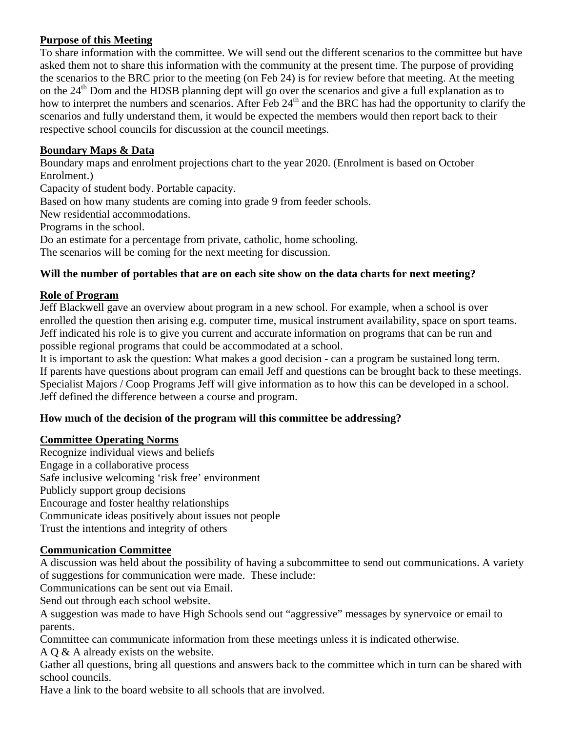# **Purpose of this Meeting**

To share information with the committee. We will send out the different scenarios to the committee but have asked them not to share this information with the community at the present time. The purpose of providing the scenarios to the BRC prior to the meeting (on Feb 24) is for review before that meeting. At the meeting on the  $24<sup>th</sup>$  Dom and the HDSB planning dept will go over the scenarios and give a full explanation as to how to interpret the numbers and scenarios. After Feb 24<sup>th</sup> and the BRC has had the opportunity to clarify the scenarios and fully understand them, it would be expected the members would then report back to their respective school councils for discussion at the council meetings.

## **Boundary Maps & Data**

Boundary maps and enrolment projections chart to the year 2020. (Enrolment is based on October Enrolment.)

Capacity of student body. Portable capacity.

Based on how many students are coming into grade 9 from feeder schools.

New residential accommodations.

Programs in the school.

Do an estimate for a percentage from private, catholic, home schooling.

The scenarios will be coming for the next meeting for discussion.

#### **Will the number of portables that are on each site show on the data charts for next meeting?**

#### **Role of Program**

Jeff Blackwell gave an overview about program in a new school. For example, when a school is over enrolled the question then arising e.g. computer time, musical instrument availability, space on sport teams. Jeff indicated his role is to give you current and accurate information on programs that can be run and possible regional programs that could be accommodated at a school.

It is important to ask the question: What makes a good decision - can a program be sustained long term. If parents have questions about program can email Jeff and questions can be brought back to these meetings. Specialist Majors / Coop Programs Jeff will give information as to how this can be developed in a school. Jeff defined the difference between a course and program.

#### **How much of the decision of the program will this committee be addressing?**

#### **Committee Operating Norms**

Recognize individual views and beliefs Engage in a collaborative process Safe inclusive welcoming 'risk free' environment Publicly support group decisions Encourage and foster healthy relationships Communicate ideas positively about issues not people Trust the intentions and integrity of others

#### **Communication Committee**

A discussion was held about the possibility of having a subcommittee to send out communications. A variety of suggestions for communication were made. These include:

Communications can be sent out via Email.

Send out through each school website.

A suggestion was made to have High Schools send out "aggressive" messages by synervoice or email to parents.

Committee can communicate information from these meetings unless it is indicated otherwise.

A Q & A already exists on the website.

Gather all questions, bring all questions and answers back to the committee which in turn can be shared with school councils.

Have a link to the board website to all schools that are involved.